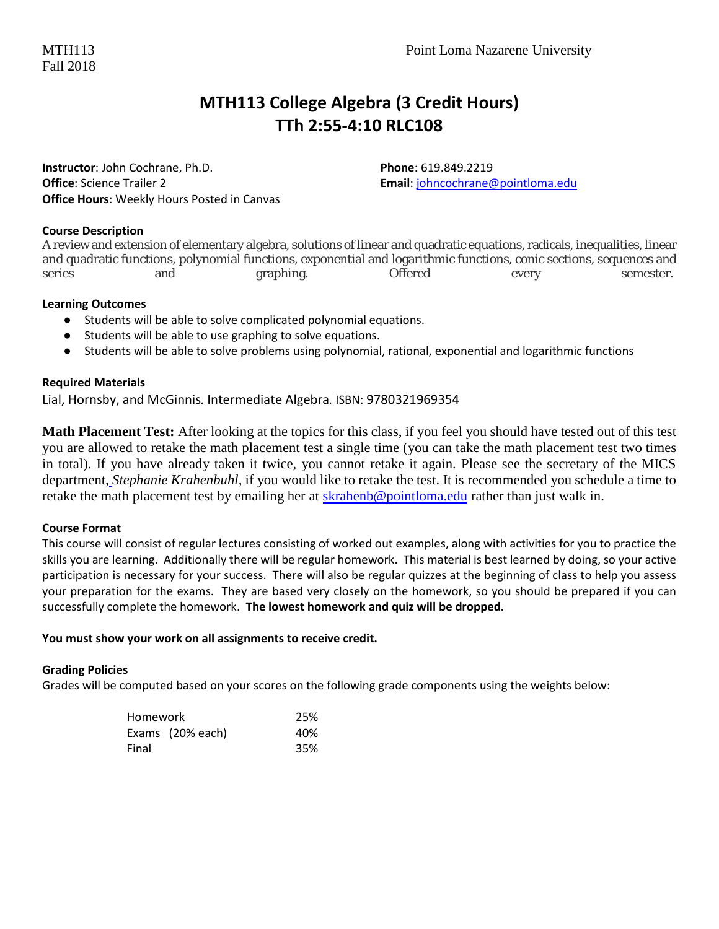## **MTH113 College Algebra (3 Credit Hours) TTh 2:55-4:10 RLC108**

**Instructor**: John Cochrane, Ph.D. **Phone**: 619.849.2219 **Office**: Science Trailer 2 **Email**[: johncochrane@pointloma.edu](mailto:johncochrane@pointloma.edu) **Office Hours**: Weekly Hours Posted in Canvas

#### **Course Description**

A review and extension of elementary algebra, solutions of linear and quadratic equations, radicals, inequalities, linear and quadratic functions, polynomial functions, exponential and logarithmic functions, conic sections, sequences and series and graphing. Offered every semester.

#### **Learning Outcomes**

- Students will be able to solve complicated polynomial equations.
- Students will be able to use graphing to solve equations.
- Students will be able to solve problems using polynomial, rational, exponential and logarithmic functions

#### **Required Materials**

Lial, Hornsby, and McGinnis*.* Intermediate Algebra*.* ISBN: 9780321969354

**Math Placement Test:** After looking at the topics for this class, if you feel you should have tested out of this test you are allowed to retake the math placement test a single time (you can take the math placement test two times in total). If you have already taken it twice, you cannot retake it again. Please see the secretary of the MICS department*, Stephanie Krahenbuhl,* if you would like to retake the test. It is recommended you schedule a time to retake the math placement test by emailing her at [skrahenb@pointloma.edu](mailto:stephaniekrahenbuhl@pointloma.edu) rather than just walk in.

#### **Course Format**

This course will consist of regular lectures consisting of worked out examples, along with activities for you to practice the skills you are learning. Additionally there will be regular homework. This material is best learned by doing, so your active participation is necessary for your success. There will also be regular quizzes at the beginning of class to help you assess your preparation for the exams. They are based very closely on the homework, so you should be prepared if you can successfully complete the homework. **The lowest homework and quiz will be dropped.** 

#### **You must show your work on all assignments to receive credit.**

#### **Grading Policies**

Grades will be computed based on your scores on the following grade components using the weights below:

| <b>Homework</b> | 25%              |     |
|-----------------|------------------|-----|
|                 | Exams (20% each) | 40% |
| Final           |                  | 35% |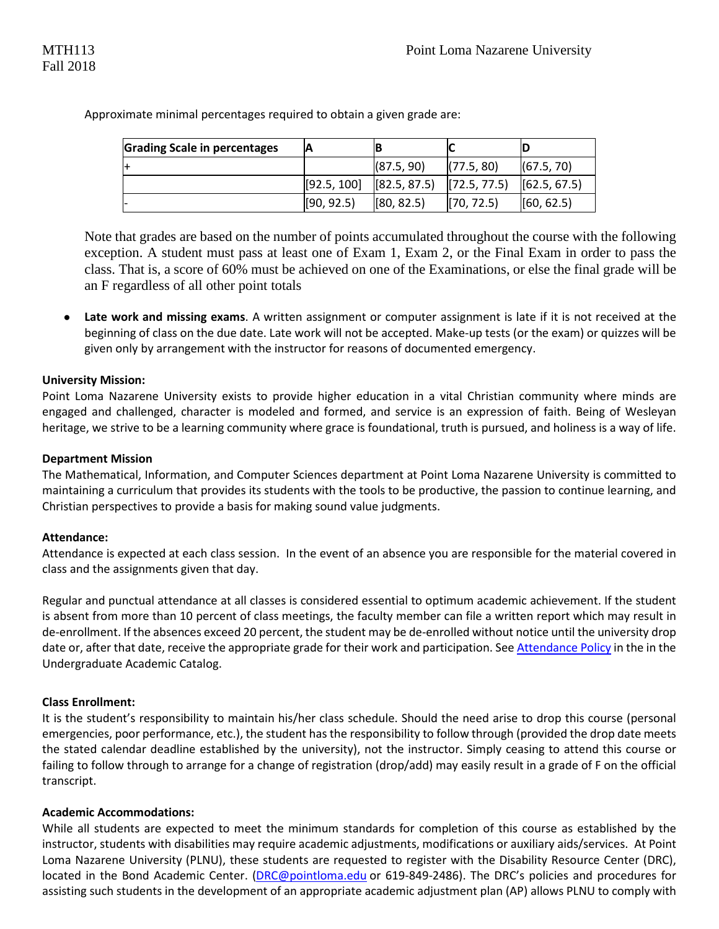| <b>Grading Scale in percentages</b> |             |                                                                                       |            |              |
|-------------------------------------|-------------|---------------------------------------------------------------------------------------|------------|--------------|
|                                     |             | (87.5, 90)                                                                            | (77.5, 80) | (67.5, 70)   |
|                                     | [92.5, 100] | $\begin{bmatrix} 82.5, 87.5 \end{bmatrix}$ $\begin{bmatrix} 72.5, 77.5 \end{bmatrix}$ |            | [62.5, 67.5] |
|                                     | [90, 92.5]  | [80, 82.5]                                                                            | [70, 72.5] | (60, 62.5)   |

Approximate minimal percentages required to obtain a given grade are:

Note that grades are based on the number of points accumulated throughout the course with the following exception. A student must pass at least one of Exam 1, Exam 2, or the Final Exam in order to pass the class. That is, a score of 60% must be achieved on one of the Examinations, or else the final grade will be an F regardless of all other point totals

● **Late work and missing exams**. A written assignment or computer assignment is late if it is not received at the beginning of class on the due date. Late work will not be accepted. Make-up tests (or the exam) or quizzes will be given only by arrangement with the instructor for reasons of documented emergency.

#### **University Mission:**

Point Loma Nazarene University exists to provide higher education in a vital Christian community where minds are engaged and challenged, character is modeled and formed, and service is an expression of faith. Being of Wesleyan heritage, we strive to be a learning community where grace is foundational, truth is pursued, and holiness is a way of life.

#### **Department Mission**

The Mathematical, Information, and Computer Sciences department at Point Loma Nazarene University is committed to maintaining a curriculum that provides its students with the tools to be productive, the passion to continue learning, and Christian perspectives to provide a basis for making sound value judgments.

#### **Attendance:**

Attendance is expected at each class session. In the event of an absence you are responsible for the material covered in class and the assignments given that day.

Regular and punctual attendance at all classes is considered essential to optimum academic achievement. If the student is absent from more than 10 percent of class meetings, the faculty member can file a written report which may result in de-enrollment. If the absences exceed 20 percent, the student may be de-enrolled without notice until the university drop date or, after that date, receive the appropriate grade for their work and participation. Se[e Attendance Policy](https://catalog.pointloma.edu/content.php?catoid=28&navoid=1761#Class_Attendance) in the in the Undergraduate Academic Catalog.

#### **Class Enrollment:**

It is the student's responsibility to maintain his/her class schedule. Should the need arise to drop this course (personal emergencies, poor performance, etc.), the student has the responsibility to follow through (provided the drop date meets the stated calendar deadline established by the university), not the instructor. Simply ceasing to attend this course or failing to follow through to arrange for a change of registration (drop/add) may easily result in a grade of F on the official transcript.

#### **Academic Accommodations:**

While all students are expected to meet the minimum standards for completion of this course as established by the instructor, students with disabilities may require academic adjustments, modifications or auxiliary aids/services. At Point Loma Nazarene University (PLNU), these students are requested to register with the Disability Resource Center (DRC), located in the Bond Academic Center. [\(DRC@pointloma.edu](mailto:DRC@pointloma.edu) or 619-849-2486). The DRC's policies and procedures for assisting such students in the development of an appropriate academic adjustment plan (AP) allows PLNU to comply with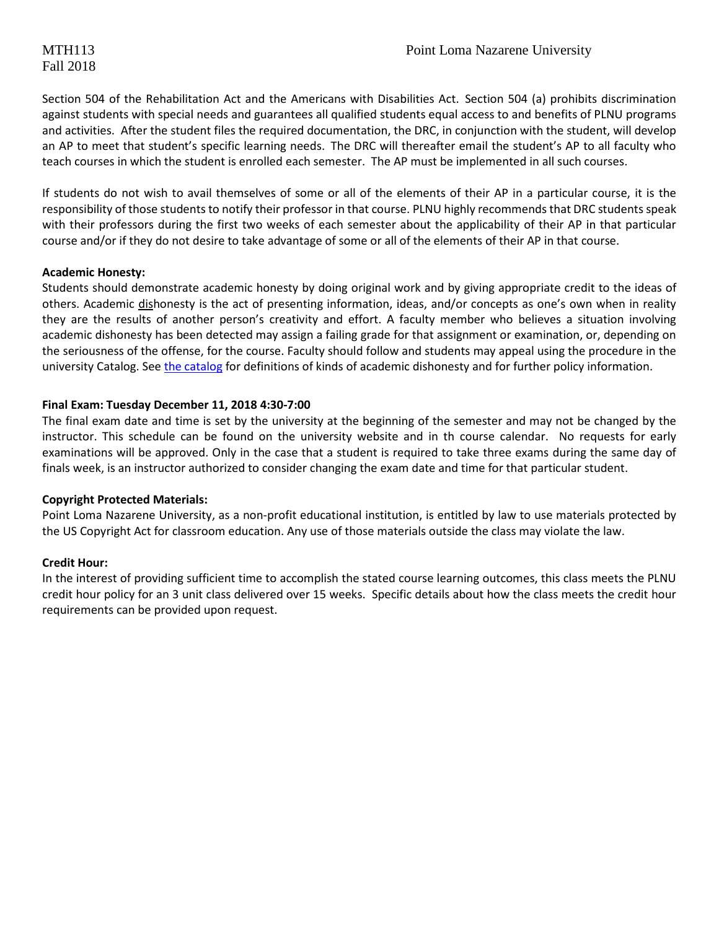## Fall 2018

Section 504 of the Rehabilitation Act and the Americans with Disabilities Act. Section 504 (a) prohibits discrimination against students with special needs and guarantees all qualified students equal access to and benefits of PLNU programs and activities. After the student files the required documentation, the DRC, in conjunction with the student, will develop an AP to meet that student's specific learning needs. The DRC will thereafter email the student's AP to all faculty who teach courses in which the student is enrolled each semester. The AP must be implemented in all such courses.

If students do not wish to avail themselves of some or all of the elements of their AP in a particular course, it is the responsibility of those students to notify their professor in that course. PLNU highly recommends that DRC students speak with their professors during the first two weeks of each semester about the applicability of their AP in that particular course and/or if they do not desire to take advantage of some or all of the elements of their AP in that course.

#### **Academic Honesty:**

Students should demonstrate academic honesty by doing original work and by giving appropriate credit to the ideas of others. Academic dishonesty is the act of presenting information, ideas, and/or concepts as one's own when in reality they are the results of another person's creativity and effort. A faculty member who believes a situation involving academic dishonesty has been detected may assign a failing grade for that assignment or examination, or, depending on the seriousness of the offense, for the course. Faculty should follow and students may appeal using the procedure in the university Catalog. Se[e the catalog](https://catalog.pointloma.edu/content.php?catoid=28&navoid=1761#Academic_Honesty) for definitions of kinds of academic dishonesty and for further policy information.

#### **Final Exam: Tuesday December 11, 2018 4:30-7:00**

The final exam date and time is set by the university at the beginning of the semester and may not be changed by the instructor. This schedule can be found on the university website and in th course calendar. No requests for early examinations will be approved. Only in the case that a student is required to take three exams during the same day of finals week, is an instructor authorized to consider changing the exam date and time for that particular student.

#### **Copyright Protected Materials:**

Point Loma Nazarene University, as a non-profit educational institution, is entitled by law to use materials protected by the US Copyright Act for classroom education. Any use of those materials outside the class may violate the law.

#### **Credit Hour:**

In the interest of providing sufficient time to accomplish the stated course learning outcomes, this class meets the PLNU credit hour policy for an 3 unit class delivered over 15 weeks. Specific details about how the class meets the credit hour requirements can be provided upon request.